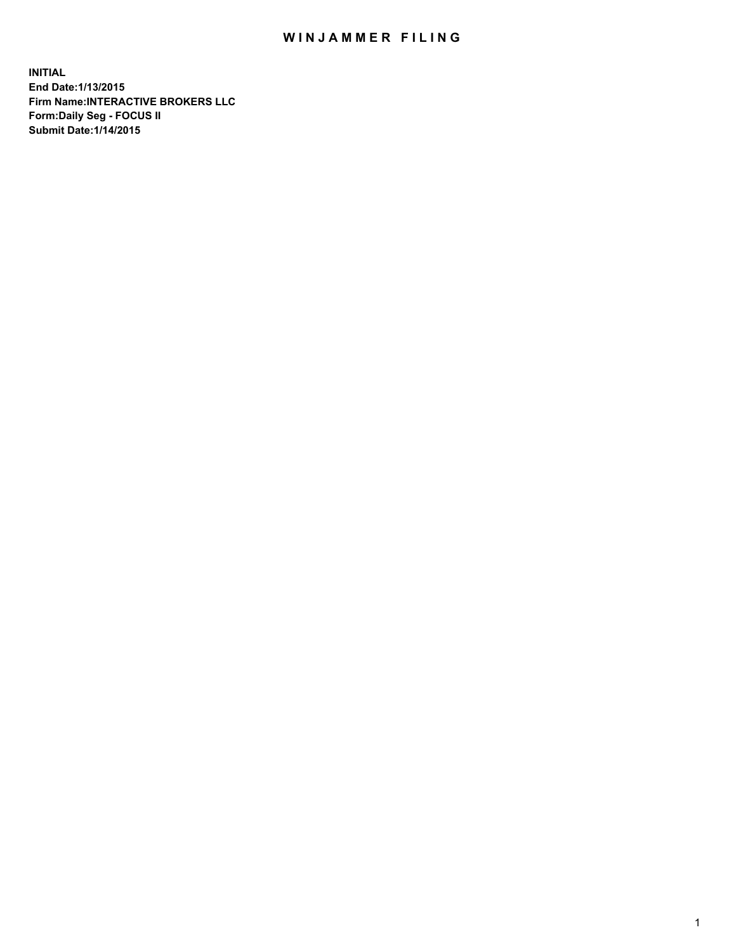## WIN JAMMER FILING

**INITIAL End Date:1/13/2015 Firm Name:INTERACTIVE BROKERS LLC Form:Daily Seg - FOCUS II Submit Date:1/14/2015**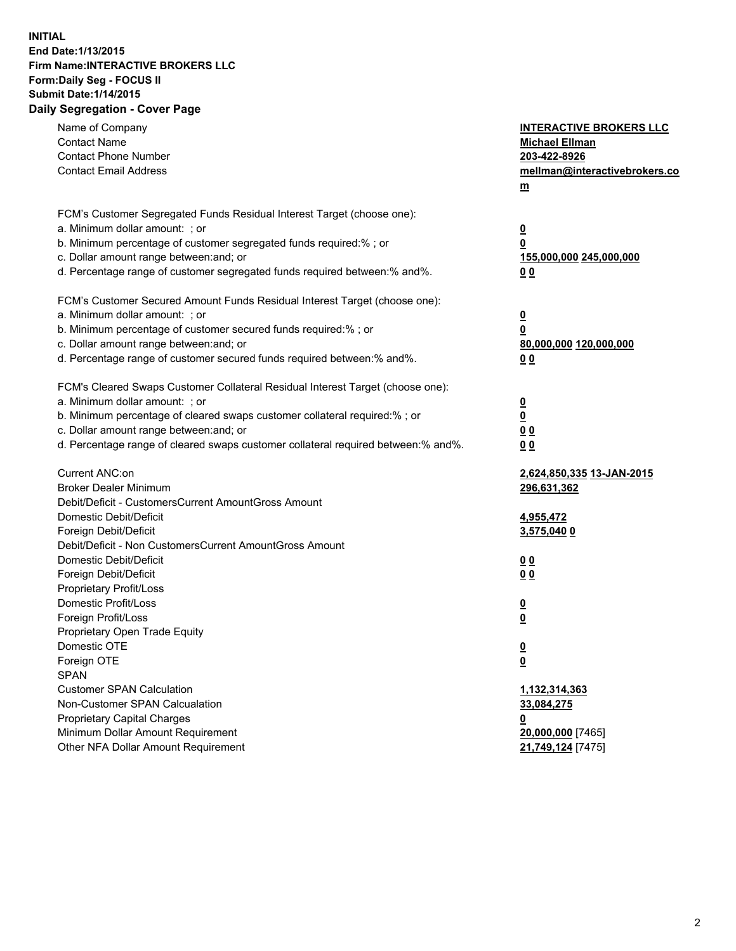## **INITIAL End Date:1/13/2015 Firm Name:INTERACTIVE BROKERS LLC Form:Daily Seg - FOCUS II Submit Date:1/14/2015 Daily Segregation - Cover Page**

| Name of Company<br><b>Contact Name</b>                                            | <b>INTERACTIVE BROKERS LLC</b><br><b>Michael Ellman</b> |
|-----------------------------------------------------------------------------------|---------------------------------------------------------|
| <b>Contact Phone Number</b>                                                       | 203-422-8926                                            |
| <b>Contact Email Address</b>                                                      | mellman@interactivebrokers.co                           |
|                                                                                   | $\underline{\mathbf{m}}$                                |
|                                                                                   |                                                         |
| FCM's Customer Segregated Funds Residual Interest Target (choose one):            |                                                         |
| a. Minimum dollar amount: ; or                                                    | $\overline{\mathbf{0}}$                                 |
| b. Minimum percentage of customer segregated funds required:% ; or                | 0                                                       |
| c. Dollar amount range between: and; or                                           | 155,000,000 245,000,000                                 |
| d. Percentage range of customer segregated funds required between:% and%.         | 00                                                      |
| FCM's Customer Secured Amount Funds Residual Interest Target (choose one):        |                                                         |
| a. Minimum dollar amount: ; or                                                    | $\overline{\mathbf{0}}$                                 |
| b. Minimum percentage of customer secured funds required:% ; or                   | 0                                                       |
| c. Dollar amount range between: and; or                                           | 80,000,000 120,000,000                                  |
| d. Percentage range of customer secured funds required between:% and%.            | 00                                                      |
| FCM's Cleared Swaps Customer Collateral Residual Interest Target (choose one):    |                                                         |
| a. Minimum dollar amount: ; or                                                    | $\overline{\mathbf{0}}$                                 |
| b. Minimum percentage of cleared swaps customer collateral required:% ; or        | $\overline{\mathbf{0}}$                                 |
| c. Dollar amount range between: and; or                                           | 0 <sub>0</sub>                                          |
| d. Percentage range of cleared swaps customer collateral required between:% and%. | 0 <sub>0</sub>                                          |
|                                                                                   |                                                         |
| Current ANC:on                                                                    | 2,624,850,335 13-JAN-2015                               |
| <b>Broker Dealer Minimum</b>                                                      | 296,631,362                                             |
| Debit/Deficit - CustomersCurrent AmountGross Amount                               |                                                         |
| Domestic Debit/Deficit                                                            | 4,955,472                                               |
| Foreign Debit/Deficit                                                             | 3,575,040 0                                             |
| Debit/Deficit - Non CustomersCurrent AmountGross Amount                           |                                                         |
| Domestic Debit/Deficit                                                            | 0 <sub>0</sub>                                          |
| Foreign Debit/Deficit                                                             | 0 <sub>0</sub>                                          |
| Proprietary Profit/Loss                                                           |                                                         |
| Domestic Profit/Loss                                                              | $\overline{\mathbf{0}}$                                 |
| Foreign Profit/Loss                                                               | $\underline{\mathbf{0}}$                                |
| Proprietary Open Trade Equity                                                     |                                                         |
| Domestic OTE                                                                      | <u>0</u>                                                |
| Foreign OTE                                                                       | <u>0</u>                                                |
| <b>SPAN</b>                                                                       |                                                         |
| <b>Customer SPAN Calculation</b>                                                  | 1,132,314,363                                           |
| Non-Customer SPAN Calcualation                                                    | 33,084,275                                              |
| Proprietary Capital Charges                                                       | <u>0</u>                                                |
| Minimum Dollar Amount Requirement                                                 | 20,000,000 [7465]                                       |
| Other NFA Dollar Amount Requirement                                               | 21,749,124 [7475]                                       |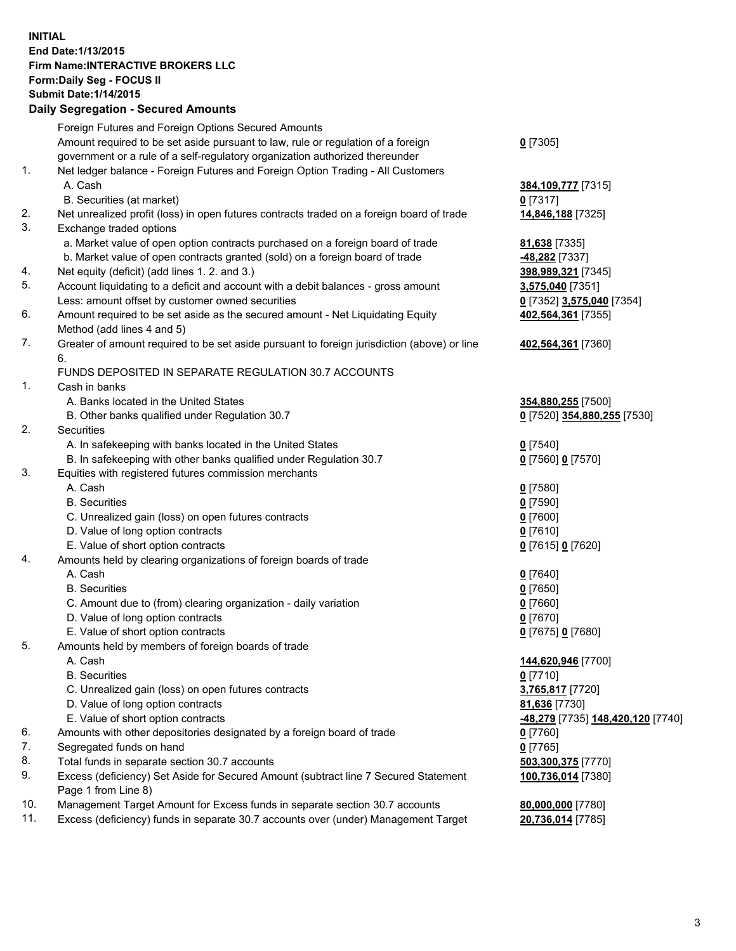## **INITIAL End Date:1/13/2015 Firm Name:INTERACTIVE BROKERS LLC Form:Daily Seg - FOCUS II Submit Date:1/14/2015 Daily Segregation - Secured Amounts**

|     | Daily Jegiegation - Jeculed Aniounts                                                                       |                                   |
|-----|------------------------------------------------------------------------------------------------------------|-----------------------------------|
|     | Foreign Futures and Foreign Options Secured Amounts                                                        |                                   |
|     | Amount required to be set aside pursuant to law, rule or regulation of a foreign                           | $0$ [7305]                        |
|     | government or a rule of a self-regulatory organization authorized thereunder                               |                                   |
| 1.  | Net ledger balance - Foreign Futures and Foreign Option Trading - All Customers                            |                                   |
|     | A. Cash                                                                                                    | 384, 109, 777 [7315]              |
|     | B. Securities (at market)                                                                                  | $0$ [7317]                        |
| 2.  | Net unrealized profit (loss) in open futures contracts traded on a foreign board of trade                  | 14,846,188 [7325]                 |
| 3.  | Exchange traded options                                                                                    |                                   |
|     | a. Market value of open option contracts purchased on a foreign board of trade                             | 81,638 [7335]                     |
|     | b. Market value of open contracts granted (sold) on a foreign board of trade                               | -48,282 [7337]                    |
| 4.  | Net equity (deficit) (add lines 1.2. and 3.)                                                               | 398,989,321 [7345]                |
| 5.  | Account liquidating to a deficit and account with a debit balances - gross amount                          | 3,575,040 [7351]                  |
|     | Less: amount offset by customer owned securities                                                           | 0 [7352] 3,575,040 [7354]         |
| 6.  | Amount required to be set aside as the secured amount - Net Liquidating Equity                             | 402,564,361 [7355]                |
|     | Method (add lines 4 and 5)                                                                                 |                                   |
| 7.  | Greater of amount required to be set aside pursuant to foreign jurisdiction (above) or line                | 402,564,361 [7360]                |
|     | 6.                                                                                                         |                                   |
|     | FUNDS DEPOSITED IN SEPARATE REGULATION 30.7 ACCOUNTS                                                       |                                   |
| 1.  | Cash in banks                                                                                              |                                   |
|     | A. Banks located in the United States                                                                      | 354,880,255 [7500]                |
|     | B. Other banks qualified under Regulation 30.7                                                             | 0 [7520] 354,880,255 [7530]       |
| 2.  | Securities                                                                                                 |                                   |
|     | A. In safekeeping with banks located in the United States                                                  | $Q$ [7540]                        |
|     | B. In safekeeping with other banks qualified under Regulation 30.7                                         | 0 [7560] 0 [7570]                 |
| 3.  | Equities with registered futures commission merchants                                                      |                                   |
|     | A. Cash                                                                                                    | $0$ [7580]                        |
|     | <b>B.</b> Securities                                                                                       | $0$ [7590]                        |
|     | C. Unrealized gain (loss) on open futures contracts                                                        | $0$ [7600]                        |
|     | D. Value of long option contracts                                                                          | $0$ [7610]                        |
|     | E. Value of short option contracts                                                                         | 0 [7615] 0 [7620]                 |
| 4.  | Amounts held by clearing organizations of foreign boards of trade                                          |                                   |
|     | A. Cash                                                                                                    | $0$ [7640]                        |
|     | <b>B.</b> Securities                                                                                       | $0$ [7650]                        |
|     | C. Amount due to (from) clearing organization - daily variation                                            | $0$ [7660]                        |
|     | D. Value of long option contracts                                                                          | $0$ [7670]                        |
|     | E. Value of short option contracts                                                                         | 0 [7675] 0 [7680]                 |
| 5.  | Amounts held by members of foreign boards of trade                                                         |                                   |
|     | A. Cash                                                                                                    | 144,620,946 [7700]                |
|     | <b>B.</b> Securities                                                                                       | $0$ [7710]                        |
|     | C. Unrealized gain (loss) on open futures contracts                                                        | 3,765,817 [7720]                  |
|     | D. Value of long option contracts                                                                          | 81,636 [7730]                     |
|     | E. Value of short option contracts                                                                         | -48,279 [7735] 148,420,120 [7740] |
| 6.  | Amounts with other depositories designated by a foreign board of trade                                     | 0 [7760]                          |
| 7.  | Segregated funds on hand                                                                                   | $0$ [7765]                        |
| 8.  | Total funds in separate section 30.7 accounts                                                              | 503,300,375 [7770]                |
| 9.  | Excess (deficiency) Set Aside for Secured Amount (subtract line 7 Secured Statement<br>Page 1 from Line 8) | 100,736,014 [7380]                |
| 10. | Management Target Amount for Excess funds in separate section 30.7 accounts                                | 80,000,000 [7780]                 |
| 11. | Excess (deficiency) funds in separate 30.7 accounts over (under) Management Target                         | 20,736,014 [7785]                 |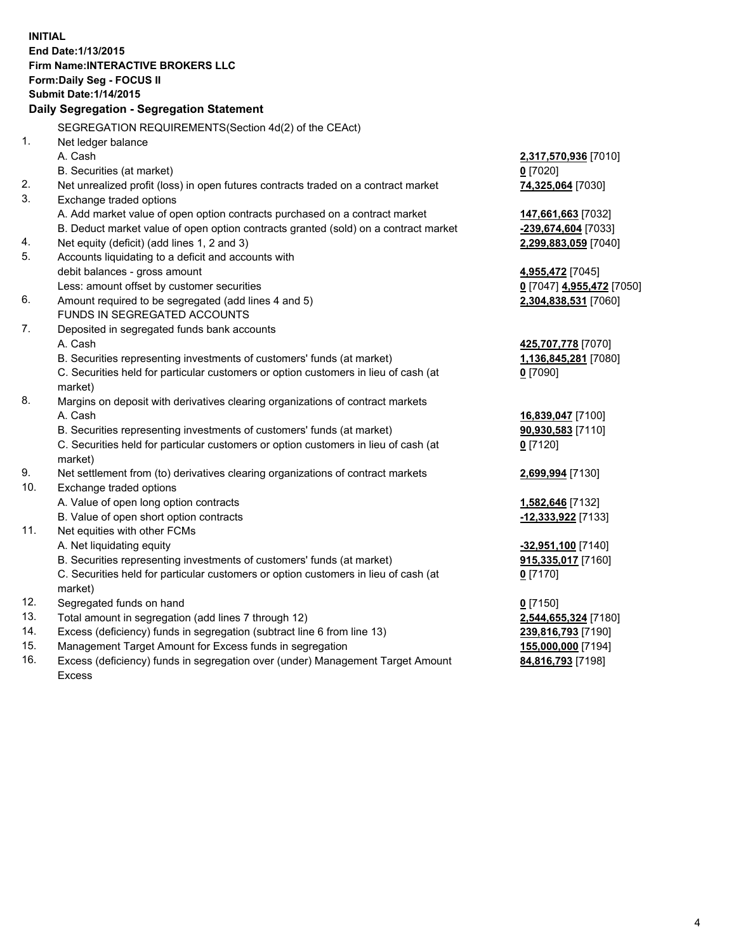**INITIAL End Date:1/13/2015 Firm Name:INTERACTIVE BROKERS LLC Form:Daily Seg - FOCUS II Submit Date:1/14/2015 Daily Segregation - Segregation Statement** SEGREGATION REQUIREMENTS(Section 4d(2) of the CEAct) 1. Net ledger balance A. Cash **2,317,570,936** [7010] B. Securities (at market) **0** [7020] 2. Net unrealized profit (loss) in open futures contracts traded on a contract market **74,325,064** [7030] 3. Exchange traded options A. Add market value of open option contracts purchased on a contract market **147,661,663** [7032] B. Deduct market value of open option contracts granted (sold) on a contract market **-239,674,604** [7033] 4. Net equity (deficit) (add lines 1, 2 and 3) **2,299,883,059** [7040] 5. Accounts liquidating to a deficit and accounts with debit balances - gross amount **4,955,472** [7045] Less: amount offset by customer securities **0** [7047] **4,955,472** [7050] 6. Amount required to be segregated (add lines 4 and 5) **2,304,838,531** [7060] FUNDS IN SEGREGATED ACCOUNTS 7. Deposited in segregated funds bank accounts A. Cash **425,707,778** [7070] B. Securities representing investments of customers' funds (at market) **1,136,845,281** [7080] C. Securities held for particular customers or option customers in lieu of cash (at market) **0** [7090] 8. Margins on deposit with derivatives clearing organizations of contract markets A. Cash **16,839,047** [7100] B. Securities representing investments of customers' funds (at market) **90,930,583** [7110] C. Securities held for particular customers or option customers in lieu of cash (at market) **0** [7120] 9. Net settlement from (to) derivatives clearing organizations of contract markets **2,699,994** [7130] 10. Exchange traded options A. Value of open long option contracts **1,582,646** [7132] B. Value of open short option contracts **-12,333,922** [7133] 11. Net equities with other FCMs A. Net liquidating equity **-32,951,100** [7140] B. Securities representing investments of customers' funds (at market) **915,335,017** [7160] C. Securities held for particular customers or option customers in lieu of cash (at market) **0** [7170] 12. Segregated funds on hand **0** [7150] 13. Total amount in segregation (add lines 7 through 12) **2,544,655,324** [7180] 14. Excess (deficiency) funds in segregation (subtract line 6 from line 13) **239,816,793** [7190] 15. Management Target Amount for Excess funds in segregation **155,000,000** [7194]

16. Excess (deficiency) funds in segregation over (under) Management Target Amount Excess

**84,816,793** [7198]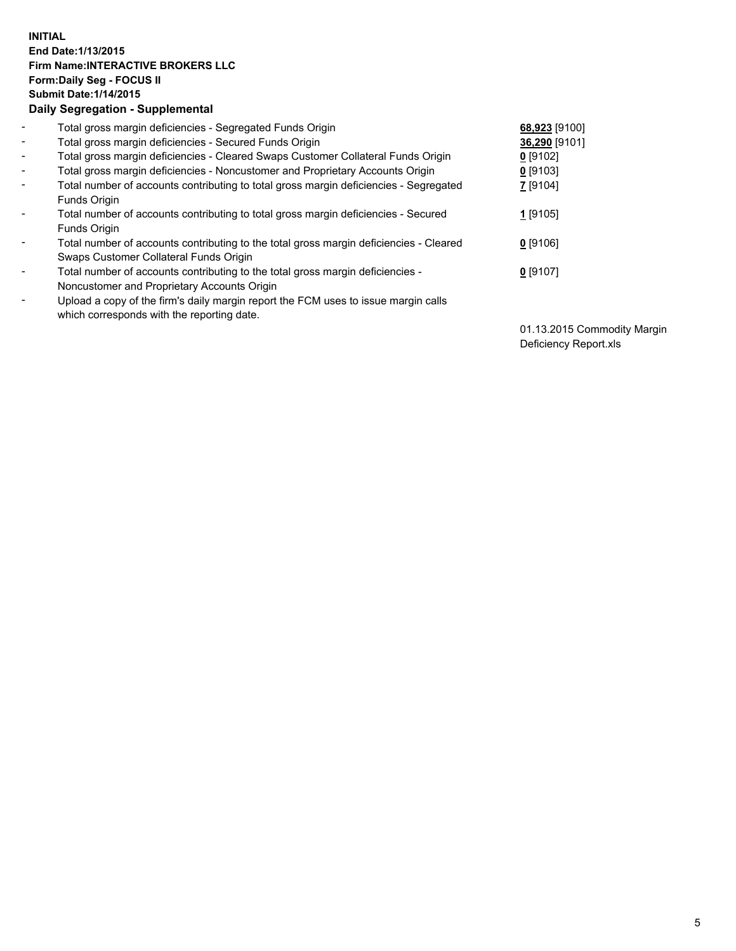## **INITIAL End Date:1/13/2015 Firm Name:INTERACTIVE BROKERS LLC Form:Daily Seg - FOCUS II Submit Date:1/14/2015 Daily Segregation - Supplemental**

| $\blacksquare$           | Total gross margin deficiencies - Segregated Funds Origin                              | 68,923 [9100] |
|--------------------------|----------------------------------------------------------------------------------------|---------------|
| $\blacksquare$           | Total gross margin deficiencies - Secured Funds Origin                                 | 36,290 [9101] |
| $\blacksquare$           | Total gross margin deficiencies - Cleared Swaps Customer Collateral Funds Origin       | $0$ [9102]    |
| $\blacksquare$           | Total gross margin deficiencies - Noncustomer and Proprietary Accounts Origin          | $0$ [9103]    |
| $\blacksquare$           | Total number of accounts contributing to total gross margin deficiencies - Segregated  | Z [9104]      |
|                          | Funds Origin                                                                           |               |
| $\overline{\phantom{a}}$ | Total number of accounts contributing to total gross margin deficiencies - Secured     | 1 [9105]      |
|                          | Funds Origin                                                                           |               |
| -                        | Total number of accounts contributing to the total gross margin deficiencies - Cleared | $0$ [9106]    |
|                          | Swaps Customer Collateral Funds Origin                                                 |               |
| ۰                        | Total number of accounts contributing to the total gross margin deficiencies -         | $0$ [9107]    |
|                          | Noncustomer and Proprietary Accounts Origin                                            |               |
| $\overline{\phantom{a}}$ | Upload a copy of the firm's daily margin report the FCM uses to issue margin calls     |               |
|                          | which corresponds with the reporting date.                                             |               |

01.13.2015 Commodity Margin Deficiency Report.xls